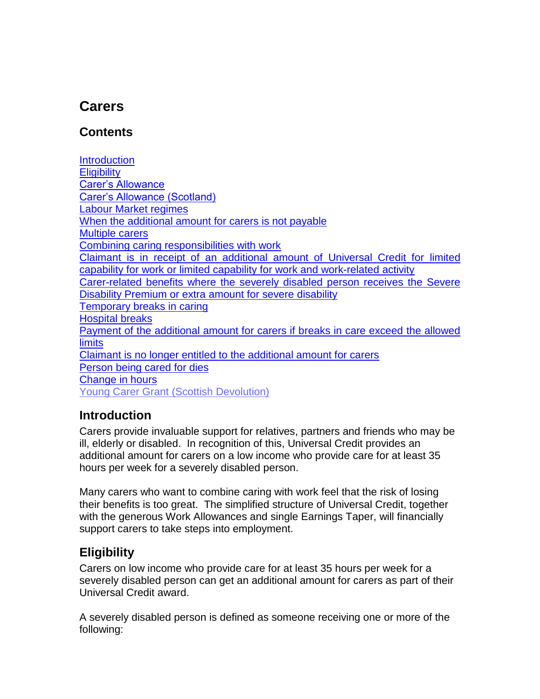# <span id="page-0-2"></span>**Carers**

#### **Contents**

**[Introduction](#page-0-0) [Eligibility](#page-0-1)** [Carer's Allowance](#page-1-0) [Carer's Allowance \(Scotland\)](#page-1-0) [Labour Market regimes](#page-2-0) [When the additional amount for carers is not payable](#page-2-1) [Multiple carers](#page-2-2) [Combining caring responsibilities with work](#page-3-0) Claimant is [in receipt of an additional amount of Universal Credit for limited](#page-3-1)  capability for work [or limited capability for work and work-related activity](#page-3-1) [Carer-related benefits where the severely disabled person receives the Severe](#page-4-0)  [Disability Premium or extra amount for severe disability](#page-4-0) [Temporary breaks in caring](#page-5-0) [Hospital breaks](#page-5-1) Payment [of the additional amount for carers if breaks in care exceed the allowed](#page-6-0)  **[limits](#page-6-0)** [Claimant is no longer entitled to the additional amount for carers](#page-6-1)  [Person being cared for dies](#page-7-0) [Change in hours](#page-8-0) Young Carer Grant (Scottish Devolution)

### <span id="page-0-0"></span>**Introduction**

Carers provide invaluable support for relatives, partners and friends who may be ill, elderly or disabled. In recognition of this, Universal Credit provides an additional amount for carers on a low income who provide care for at least 35 hours per week for a severely disabled person.

Many carers who want to combine caring with work feel that the risk of losing their benefits is too great. The simplified structure of Universal Credit, together with the generous Work Allowances and single Earnings Taper, will financially support carers to take steps into employment.

### <span id="page-0-1"></span>**Eligibility**

Carers on low income who provide care for at least 35 hours per week for a severely disabled person can get an additional amount for carers as part of their Universal Credit award.

A severely disabled person is defined as someone receiving one or more of the following: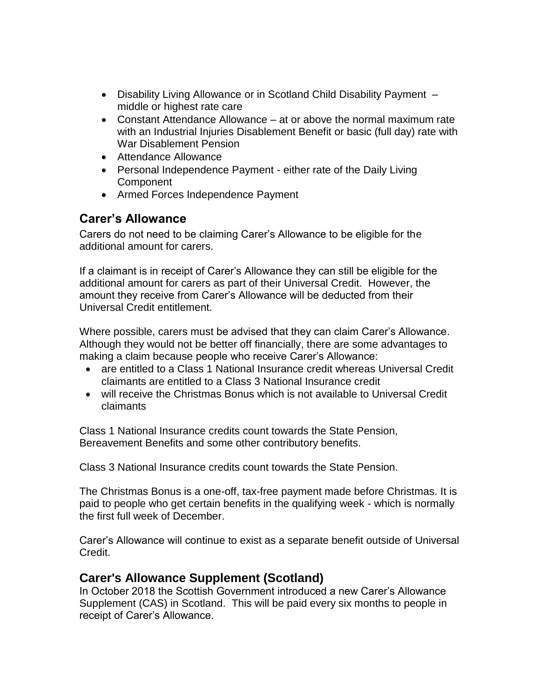- Disability Living Allowance or in Scotland Child Disability Payment middle or highest rate care
- Constant Attendance Allowance at or above the normal maximum rate with an Industrial Injuries Disablement Benefit or basic (full day) rate with War Disablement Pension
- Attendance Allowance
- Personal Independence Payment either rate of the Daily Living **Component**
- Armed Forces Independence Payment

#### <span id="page-1-0"></span>**Carer's Allowance**

Carers do not need to be claiming Carer's Allowance to be eligible for the additional amount for carers.

If a claimant is in receipt of Carer's Allowance they can still be eligible for the additional amount for carers as part of their Universal Credit. However, the amount they receive from Carer's Allowance will be deducted from their Universal Credit entitlement.

Where possible, carers must be advised that they can claim Carer's Allowance. Although they would not be better off financially, there are some advantages to making a claim because people who receive Carer's Allowance:

- are entitled to a Class 1 National Insurance credit whereas Universal Credit claimants are entitled to a Class 3 National Insurance credit
- will receive the Christmas Bonus which is not available to Universal Credit claimants

Class 1 National Insurance credits count towards the State Pension, Bereavement Benefits and some other contributory benefits.

Class 3 National Insurance credits count towards the State Pension.

The Christmas Bonus is a one-off, tax-free payment made before Christmas. It is paid to people who get certain benefits in the qualifying week - which is normally the first full week of December.

Carer's Allowance will continue to exist as a separate benefit outside of Universal Credit.

### **Carer's Allowance Supplement (Scotland)**

In October 2018 the Scottish Government introduced a new Carer's Allowance Supplement (CAS) in Scotland. This will be paid every six months to people in receipt of Carer's Allowance.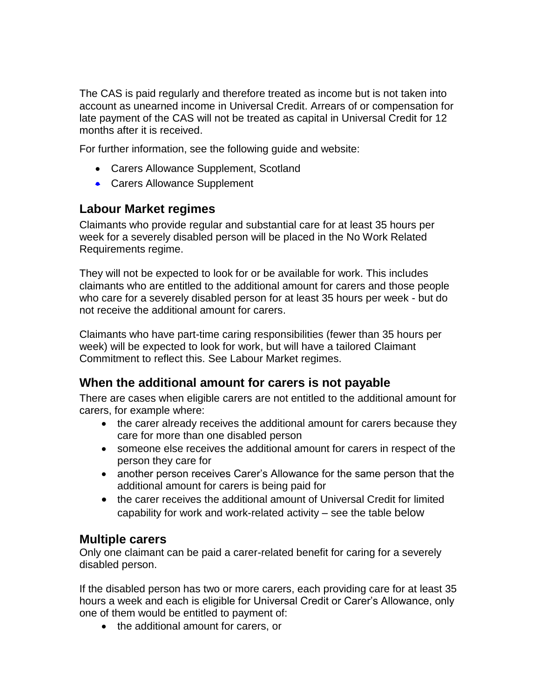The CAS is paid regularly and therefore treated as income but is not taken into account as [unearned income](https://intranet.dwp.gov.uk/policy/unearned-income) in Universal Credit. Arrears of or compensation for late payment of the CAS will not be treated as capital in Universal Credit for 12 months after it is received.

For further information, see the following guide and website:

- Carers Allowance Supplement, Scotland
- Carers Allowance Supplement

#### <span id="page-2-0"></span>**Labour Market regimes**

Claimants who provide regular and substantial care for at least 35 hours per week for a severely disabled person will be placed in the No Work Related Requirements regime.

They will not be expected to look for or be available for work. This includes claimants who are entitled to the additional amount for carers and those people who care for a severely disabled person for at least 35 hours per week - but do not receive the additional amount for carers.

Claimants who have part-time caring responsibilities (fewer than 35 hours per week) will be expected to look for work, but will have a tailored Claimant Commitment to reflect this. See Labour Market regimes.

### <span id="page-2-1"></span>**When the additional amount for carers is not payable**

There are cases when eligible carers are not entitled to the additional amount for carers, for example where:

- the carer already receives the additional amount for carers because they care for more than one disabled person
- someone else receives the additional amount for carers in respect of the person they care for
- another person receives Carer's Allowance for the same person that the additional amount for carers is being paid for
- <span id="page-2-2"></span> the carer receives the additional amount of Universal Credit for limited capability for work and work-related activity – see the table below

#### **Multiple carers**

Only one claimant can be paid a carer-related benefit for caring for a severely disabled person.

If the disabled person has two or more carers, each providing care for at least 35 hours a week and each is eligible for Universal Credit or Carer's Allowance, only one of them would be entitled to payment of:

• the additional amount for carers, or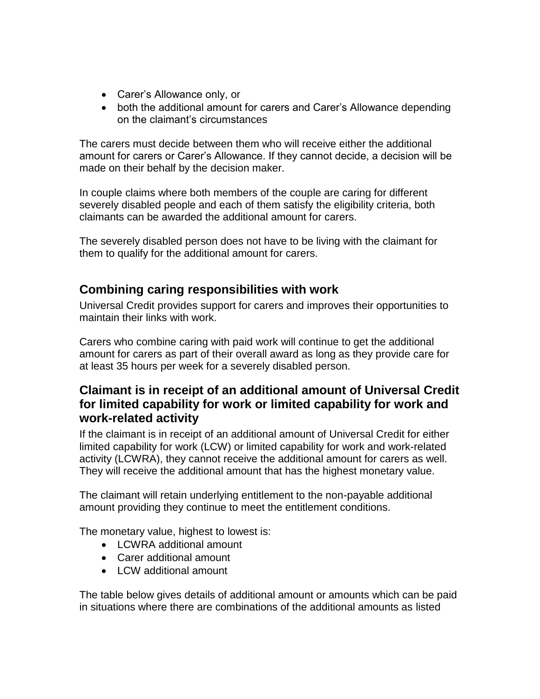- Carer's Allowance only, or
- both the additional amount for carers and Carer's Allowance depending on the claimant's circumstances

The carers must decide between them who will receive either the additional amount for carers or Carer's Allowance. If they cannot decide, a decision will be made on their behalf by the decision maker.

In couple claims where both members of the couple are caring for different severely disabled people and each of them satisfy the eligibility criteria, both claimants can be awarded the additional amount for carers.

The severely disabled person does not have to be living with the claimant for them to qualify for the additional amount for carers.

### <span id="page-3-0"></span>**Combining caring responsibilities with work**

Universal Credit provides support for carers and improves their opportunities to maintain their links with work.

Carers who combine caring with paid work will continue to get the additional amount for carers as part of their overall award as long as they provide care for at least 35 hours per week for a severely disabled person.

#### <span id="page-3-1"></span>**Claimant is in receipt of an additional amount of Universal Credit for limited capability for work or limited capability for work and work-related activity**

If the claimant is in receipt of an additional amount of Universal Credit for either limited capability for work (LCW) or limited capability for work and work-related activity (LCWRA), they cannot receive the additional amount for carers as well. They will receive the additional amount that has the highest monetary value.

The claimant will retain underlying entitlement to the non-payable additional amount providing they continue to meet the entitlement conditions.

The monetary value, highest to lowest is:

- LCWRA additional amount
- Carer additional amount
- LCW additional amount

The table below gives details of additional amount or amounts which can be paid in situations where there are combinations of the additional amounts as listed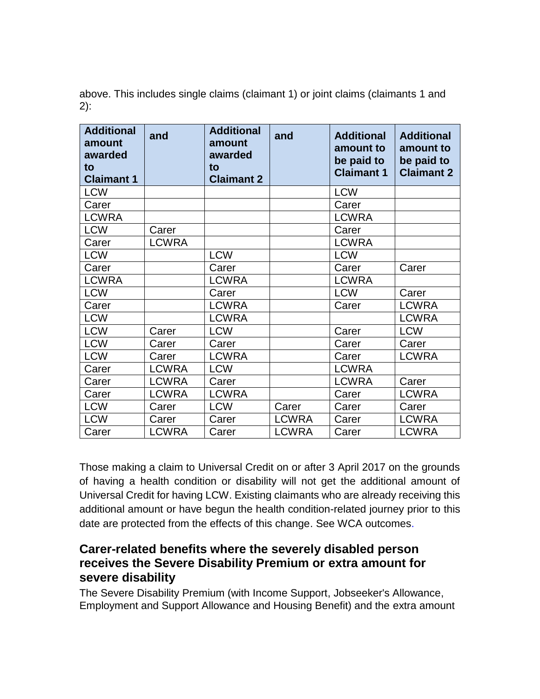above. This includes single claims (claimant 1) or joint claims (claimants 1 and 2):

| <b>Additional</b><br>amount<br>awarded<br>to<br><b>Claimant 1</b> | and          | <b>Additional</b><br>amount<br>awarded<br>to<br><b>Claimant 2</b> | and          | <b>Additional</b><br>amount to<br>be paid to<br><b>Claimant 1</b> | <b>Additional</b><br>amount to<br>be paid to<br><b>Claimant 2</b> |
|-------------------------------------------------------------------|--------------|-------------------------------------------------------------------|--------------|-------------------------------------------------------------------|-------------------------------------------------------------------|
| <b>LCW</b>                                                        |              |                                                                   |              | <b>LCW</b>                                                        |                                                                   |
| Carer                                                             |              |                                                                   |              | Carer                                                             |                                                                   |
| <b>LCWRA</b>                                                      |              |                                                                   |              | <b>LCWRA</b>                                                      |                                                                   |
| <b>LCW</b>                                                        | Carer        |                                                                   |              | Carer                                                             |                                                                   |
| Carer                                                             | <b>LCWRA</b> |                                                                   |              | <b>LCWRA</b>                                                      |                                                                   |
| <b>LCW</b>                                                        |              | <b>LCW</b>                                                        |              | <b>LCW</b>                                                        |                                                                   |
| Carer                                                             |              | Carer                                                             |              | Carer                                                             | Carer                                                             |
| <b>LCWRA</b>                                                      |              | <b>LCWRA</b>                                                      |              | <b>LCWRA</b>                                                      |                                                                   |
| <b>LCW</b>                                                        |              | Carer                                                             |              | <b>LCW</b>                                                        | Carer                                                             |
| Carer                                                             |              | <b>LCWRA</b>                                                      |              | Carer                                                             | <b>LCWRA</b>                                                      |
| <b>LCW</b>                                                        |              | <b>LCWRA</b>                                                      |              |                                                                   | <b>LCWRA</b>                                                      |
| <b>LCW</b>                                                        | Carer        | <b>LCW</b>                                                        |              | Carer                                                             | <b>LCW</b>                                                        |
| <b>LCW</b>                                                        | Carer        | Carer                                                             |              | Carer                                                             | Carer                                                             |
| <b>LCW</b>                                                        | Carer        | <b>LCWRA</b>                                                      |              | Carer                                                             | <b>LCWRA</b>                                                      |
| Carer                                                             | <b>LCWRA</b> | <b>LCW</b>                                                        |              | <b>LCWRA</b>                                                      |                                                                   |
| Carer                                                             | <b>LCWRA</b> | Carer                                                             |              | <b>LCWRA</b>                                                      | Carer                                                             |
| Carer                                                             | <b>LCWRA</b> | <b>LCWRA</b>                                                      |              | Carer                                                             | <b>LCWRA</b>                                                      |
| <b>LCW</b>                                                        | Carer        | <b>LCW</b>                                                        | Carer        | Carer                                                             | Carer                                                             |
| <b>LCW</b>                                                        | Carer        | Carer                                                             | <b>LCWRA</b> | Carer                                                             | <b>LCWRA</b>                                                      |
| Carer                                                             | <b>LCWRA</b> | Carer                                                             | <b>LCWRA</b> | Carer                                                             | <b>LCWRA</b>                                                      |

Those making a claim to Universal Credit on or after 3 April 2017 on the grounds of having a health condition or disability will not get the additional amount of Universal Credit for having LCW. Existing claimants who are already receiving this additional amount or have begun the health condition-related journey prior to this date are protected from the effects of this change. See WCA outcomes.

#### <span id="page-4-0"></span>**Carer-related benefits where the severely disabled person receives the Severe Disability Premium or extra amount for severe disability**

The Severe Disability Premium (with Income Support, Jobseeker's Allowance, Employment and Support Allowance and Housing Benefit) and the extra amount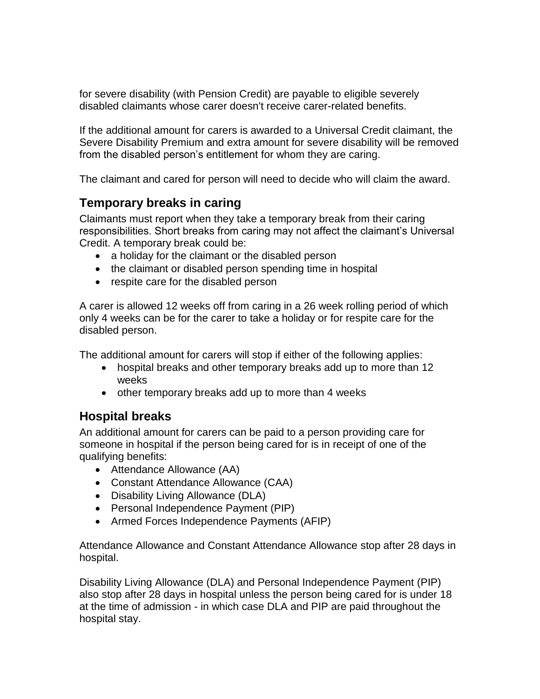for severe disability (with Pension Credit) are payable to eligible severely disabled claimants whose carer doesn't receive carer-related benefits.

If the additional amount for carers is awarded to a Universal Credit claimant, the Severe Disability Premium and extra amount for severe disability will be removed from the disabled person's entitlement for whom they are caring.

The claimant and cared for person will need to decide who will claim the award.

### <span id="page-5-0"></span>**Temporary breaks in caring**

Claimants must report when they take a temporary break from their caring responsibilities. Short breaks from caring may not affect the claimant's Universal Credit. A temporary break could be:

- a holiday for the claimant or the disabled person
- the claimant or disabled person spending time in hospital
- respite care for the disabled person

A carer is allowed 12 weeks off from caring in a 26 week rolling period of which only 4 weeks can be for the carer to take a holiday or for respite care for the disabled person.

The additional amount for carers will stop if either of the following applies:

- hospital breaks and other temporary breaks add up to more than 12 weeks
- other temporary breaks add up to more than 4 weeks

### <span id="page-5-1"></span>**Hospital breaks**

An additional amount for carers can be paid to a person providing care for someone in hospital if the person being cared for is in receipt of one of the qualifying benefits:

- Attendance Allowance (AA)
- Constant Attendance Allowance (CAA)
- Disability Living Allowance (DLA)
- Personal Independence Payment (PIP)
- Armed Forces Independence Payments (AFIP)

Attendance Allowance and Constant Attendance Allowance stop after 28 days in hospital.

Disability Living Allowance (DLA) and Personal Independence Payment (PIP) also stop after 28 days in hospital unless the person being cared for is under 18 at the time of admission - in which case DLA and PIP are paid throughout the hospital stay.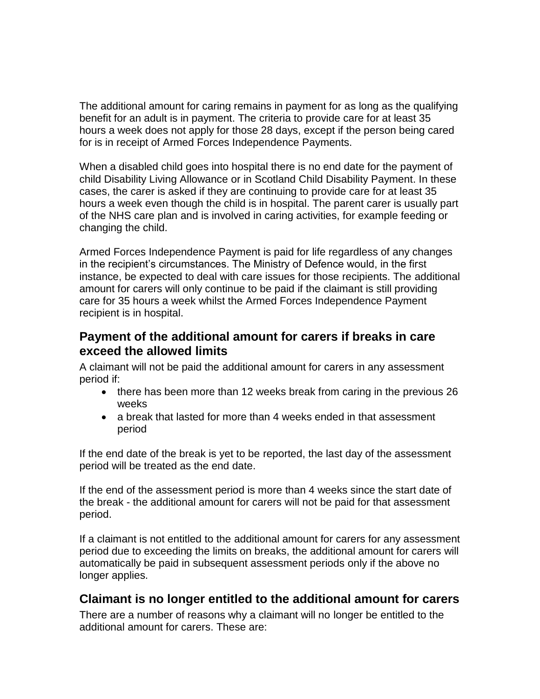The additional amount for caring remains in payment for as long as the qualifying benefit for an adult is in payment. The criteria to provide care for at least 35 hours a week does not apply for those 28 days, except if the person being cared for is in receipt of Armed Forces Independence Payments.

When a disabled child goes into hospital there is no end date for the payment of child Disability Living Allowance or in Scotland Child Disability Payment. In these cases, the carer is asked if they are continuing to provide care for at least 35 hours a week even though the child is in hospital. The parent carer is usually part of the NHS care plan and is involved in caring activities, for example feeding or changing the child.

Armed Forces Independence Payment is paid for life regardless of any changes in the recipient's circumstances. The Ministry of Defence would, in the first instance, be expected to deal with care issues for those recipients. The additional amount for carers will only continue to be paid if the claimant is still providing care for 35 hours a week whilst the Armed Forces Independence Payment recipient is in hospital.

#### <span id="page-6-0"></span>**Payment of the additional amount for carers if breaks in care exceed the allowed limits**

A claimant will not be paid the additional amount for carers in any assessment period if:

- there has been more than 12 weeks break from caring in the previous 26 weeks
- a break that lasted for more than 4 weeks ended in that assessment period

If the end date of the break is yet to be reported, the last day of the assessment period will be treated as the end date.

If the end of the assessment period is more than 4 weeks since the start date of the break - the additional amount for carers will not be paid for that assessment period.

If a claimant is not entitled to the additional amount for carers for any assessment period due to exceeding the limits on breaks, the additional amount for carers will automatically be paid in subsequent assessment periods only if the above no longer applies.

### <span id="page-6-1"></span>**Claimant is no longer entitled to the additional amount for carers**

There are a number of reasons why a claimant will no longer be entitled to the additional amount for carers. These are: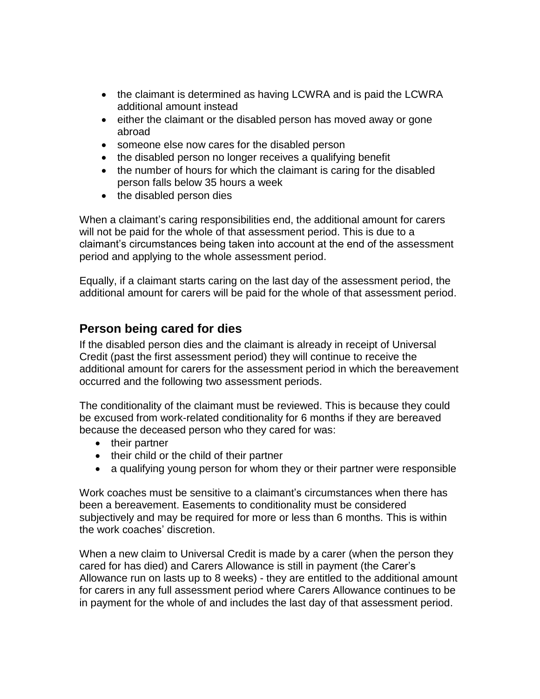- the claimant is determined as having LCWRA and is paid the LCWRA additional amount instead
- either the claimant or the disabled person has moved away or gone abroad
- someone else now cares for the disabled person
- the disabled person no longer receives a qualifying benefit
- the number of hours for which the claimant is caring for the disabled person falls below 35 hours a week
- the disabled person dies

When a claimant's caring responsibilities end, the additional amount for carers will not be paid for the whole of that assessment period. This is due to a claimant's circumstances being taken into account at the end of the assessment period and applying to the whole assessment period.

Equally, if a claimant starts caring on the last day of the assessment period, the additional amount for carers will be paid for the whole of that assessment period.

### <span id="page-7-0"></span>**Person being cared for dies**

If the disabled person dies and the claimant is already in receipt of Universal Credit (past the first assessment period) they will continue to receive the additional amount for carers for the assessment period in which the bereavement occurred and the following two assessment periods.

The conditionality of the claimant must be reviewed. This is because they could be excused from work-related conditionality for 6 months if they are bereaved because the deceased person who they cared for was:

- their partner
- their child or the child of their partner
- a qualifying young person for whom they or their partner were responsible

Work coaches must be sensitive to a claimant's circumstances when there has been a bereavement. Easements to conditionality must be considered subjectively and may be required for more or less than 6 months. This is within the work coaches' discretion.

When a new claim to Universal Credit is made by a carer (when the person they cared for has died) and Carers Allowance is still in payment (the Carer's Allowance run on lasts up to 8 weeks) - they are entitled to the additional amount for carers in any full assessment period where Carers Allowance continues to be in payment for the whole of and includes the last day of that assessment period.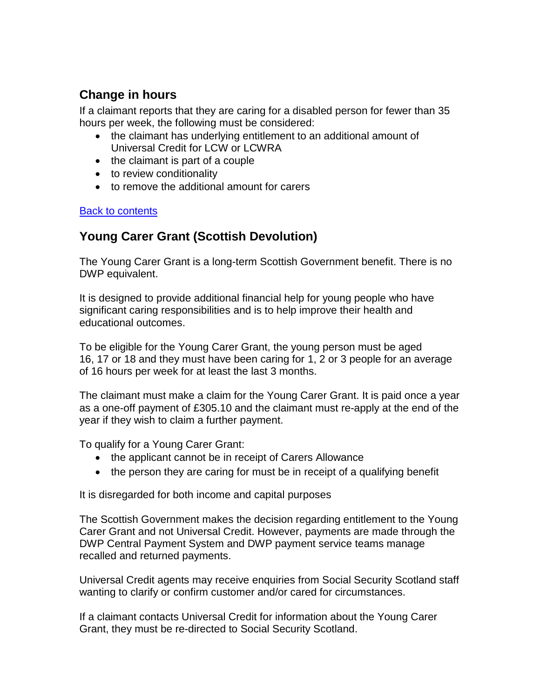### <span id="page-8-0"></span>**Change in hours**

If a claimant reports that they are caring for a disabled person for fewer than 35 hours per week, the following must be considered:

- the claimant has underlying entitlement to an additional amount of Universal Credit for LCW or LCWRA
- the claimant is part of a couple
- to review conditionality
- to remove the additional amount for carers

#### [Back to contents](#page-0-2)

## **Young Carer Grant (Scottish Devolution)**

The Young Carer Grant is a long-term Scottish Government benefit. There is no DWP equivalent.

It is designed to provide additional financial help for young people who have significant caring responsibilities and is to help improve their health and educational outcomes.

To be eligible for the Young Carer Grant, the young person must be aged 16, 17 or 18 and they must have been caring for 1, 2 or 3 people for an average of 16 hours per week for at least the last 3 months.

The claimant must make a claim for the Young Carer Grant. It is paid once a year as a one-off payment of £305.10 and the claimant must re-apply at the end of the year if they wish to claim a further payment.

To qualify for a Young Carer Grant:

- the applicant cannot be in receipt of Carers Allowance
- the person they are caring for must be in receipt of a qualifying benefit

It is disregarded for both income and capital purposes

The Scottish Government makes the decision regarding entitlement to the Young Carer Grant and not Universal Credit. However, payments are made through the DWP Central Payment System and DWP payment service teams manage recalled and returned payments.

Universal Credit agents may receive enquiries from Social Security Scotland staff wanting to clarify or confirm customer and/or cared for circumstances.

If a claimant contacts Universal Credit for information about the Young Carer Grant, they must be re-directed to Social Security Scotland.